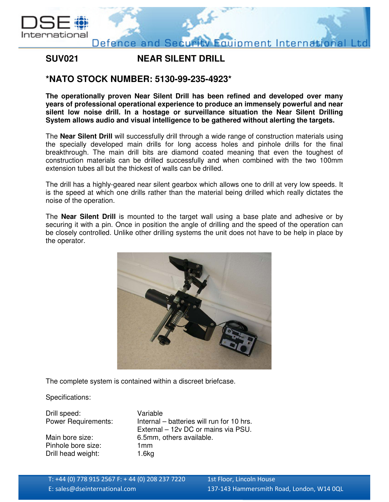

## **SUV021 NEAR SILENT DRILL**

## **\*NATO STOCK NUMBER: 5130-99-235-4923\***

**The operationally proven Near Silent Drill has been refined and developed over many years of professional operational experience to produce an immensely powerful and near silent low noise drill. In a hostage or surveillance situation the Near Silent Drilling System allows audio and visual intelligence to be gathered without alerting the targets.** 

The **Near Silent Drill** will successfully drill through a wide range of construction materials using the specially developed main drills for long access holes and pinhole drills for the final breakthrough. The main drill bits are diamond coated meaning that even the toughest of construction materials can be drilled successfully and when combined with the two 100mm extension tubes all but the thickest of walls can be drilled.

The drill has a highly-geared near silent gearbox which allows one to drill at very low speeds. It is the speed at which one drills rather than the material being drilled which really dictates the noise of the operation.

The **Near Silent Drill** is mounted to the target wall using a base plate and adhesive or by securing it with a pin. Once in position the angle of drilling and the speed of the operation can be closely controlled. Unlike other drilling systems the unit does not have to be help in place by the operator.



The complete system is contained within a discreet briefcase.

Specifications:

| Drill speed:               | Variable                                  |
|----------------------------|-------------------------------------------|
| <b>Power Requirements:</b> | Internal – batteries will run for 10 hrs. |
|                            | External - 12v DC or mains via PSU.       |
| Main bore size:            | 6.5mm, others available.                  |
| Pinhole bore size:         | 1 <sub>mm</sub>                           |
| Drill head weight:         | 1.6kg                                     |